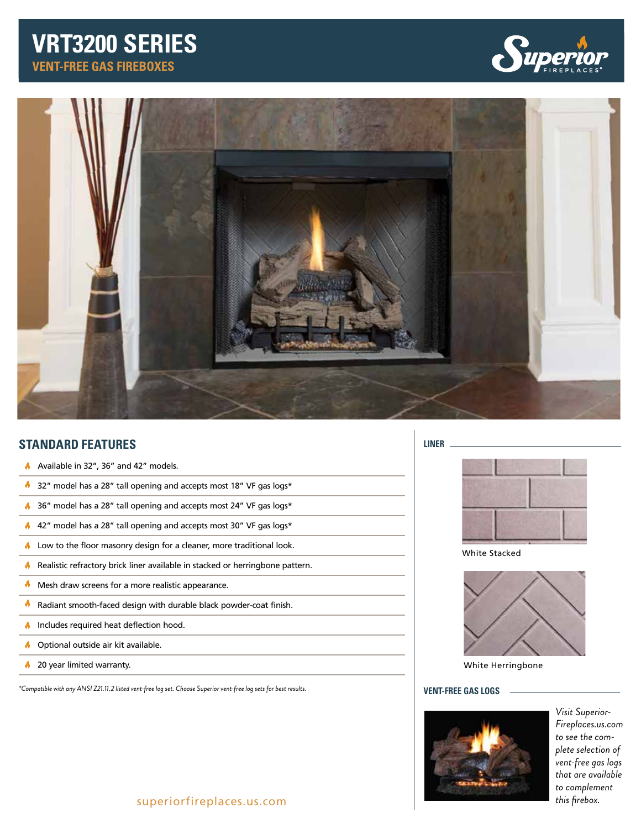# **VENT-FREE GAS FIREBOXES VRT3200 SERIES**





# **STANDARD FEATURES**

- Available in 32", 36" and 42" models.
- V. 32" model has a 28" tall opening and accepts most 18" VF gas logs\*
- 36" model has a 28" tall opening and accepts most 24" VF gas logs\*
- 42" model has a 28" tall opening and accepts most 30" VF gas logs\*
- $\blacklozenge$  Low to the floor masonry design for a cleaner, more traditional look.
- Realistic refractory brick liner available in stacked or herringbone pattern.
- ø, Mesh draw screens for a more realistic appearance.
- ø. Radiant smooth-faced design with durable black powder-coat finish.
- Includes required heat deflection hood.  $\blacklozenge$
- **Optional outside air kit available.**
- 30 year limited warranty.

*\*Compatible with any ANSI Z21.11.2 listed vent-free log set. Choose Superior vent-free log sets for best results.*

#### **LINER**



White Stacked



White Herringbone

### **VENT-FREE GAS LOGS**



*Visit Superior-Fireplaces.us.com to see the complete selection of vent-free gas logs that are available to complement this firebox.*

## superiorfireplaces.us.com